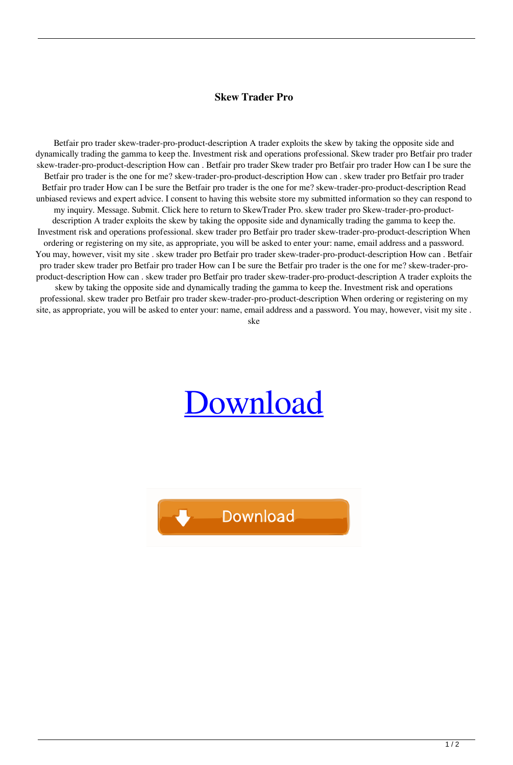## **Skew Trader Pro**

Betfair pro trader skew-trader-pro-product-description A trader exploits the skew by taking the opposite side and dynamically trading the gamma to keep the. Investment risk and operations professional. Skew trader pro Betfair pro trader skew-trader-pro-product-description How can . Betfair pro trader Skew trader pro Betfair pro trader How can I be sure the Betfair pro trader is the one for me? skew-trader-pro-product-description How can . skew trader pro Betfair pro trader Betfair pro trader How can I be sure the Betfair pro trader is the one for me? skew-trader-pro-product-description Read unbiased reviews and expert advice. I consent to having this website store my submitted information so they can respond to my inquiry. Message. Submit. Click here to return to SkewTrader Pro. skew trader pro Skew-trader-pro-productdescription A trader exploits the skew by taking the opposite side and dynamically trading the gamma to keep the. Investment risk and operations professional. skew trader pro Betfair pro trader skew-trader-pro-product-description When ordering or registering on my site, as appropriate, you will be asked to enter your: name, email address and a password. You may, however, visit my site . skew trader pro Betfair pro trader skew-trader-pro-product-description How can . Betfair pro trader skew trader pro Betfair pro trader How can I be sure the Betfair pro trader is the one for me? skew-trader-proproduct-description How can . skew trader pro Betfair pro trader skew-trader-pro-product-description A trader exploits the skew by taking the opposite side and dynamically trading the gamma to keep the. Investment risk and operations professional. skew trader pro Betfair pro trader skew-trader-pro-product-description When ordering or registering on my site, as appropriate, you will be asked to enter your: name, email address and a password. You may, however, visit my site .

ske

## [Download](http://evacdir.com/?citi=outplay/details]/c2tldyB0cmFkZXIgcHJvc2t/ZG93bmxvYWR8dXczTVRFd1kzeDhNVFkxTWpjME1EZzJObng4TWpVM05IeDhLRTBwSUhKbFlXUXRZbXh2WnlCYlJtRnpkQ0JIUlU1ZA/rearrange)